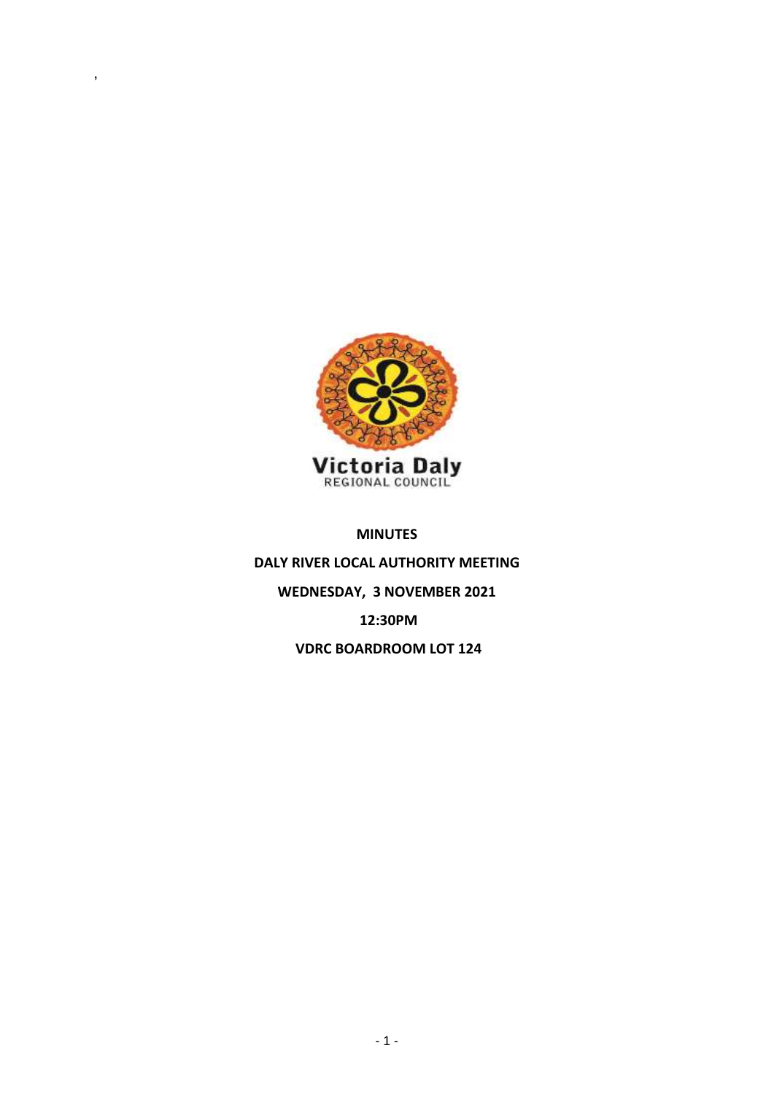

,

## **MINUTES**

**DALY RIVER LOCAL AUTHORITY MEETING WEDNESDAY, 3 NOVEMBER 2021 12:30PM VDRC BOARDROOM LOT 124**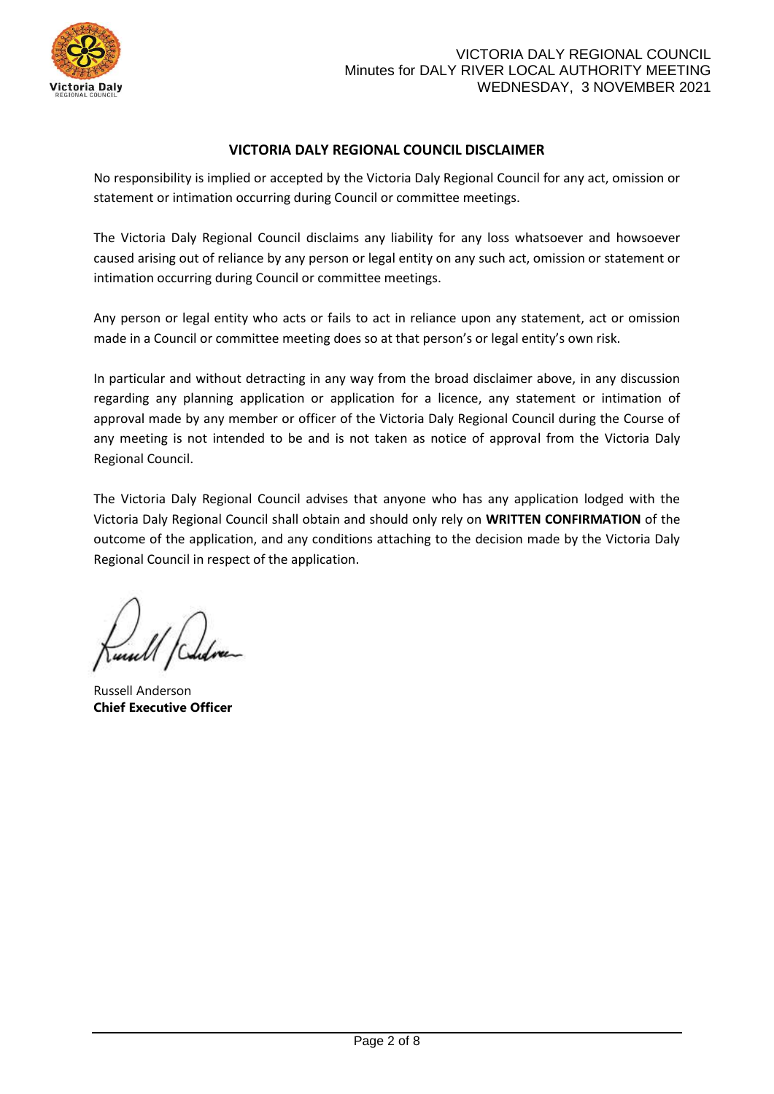

# **VICTORIA DALY REGIONAL COUNCIL DISCLAIMER**

No responsibility is implied or accepted by the Victoria Daly Regional Council for any act, omission or statement or intimation occurring during Council or committee meetings.

The Victoria Daly Regional Council disclaims any liability for any loss whatsoever and howsoever caused arising out of reliance by any person or legal entity on any such act, omission or statement or intimation occurring during Council or committee meetings.

Any person or legal entity who acts or fails to act in reliance upon any statement, act or omission made in a Council or committee meeting does so at that person's or legal entity's own risk.

In particular and without detracting in any way from the broad disclaimer above, in any discussion regarding any planning application or application for a licence, any statement or intimation of approval made by any member or officer of the Victoria Daly Regional Council during the Course of any meeting is not intended to be and is not taken as notice of approval from the Victoria Daly Regional Council.

The Victoria Daly Regional Council advises that anyone who has any application lodged with the Victoria Daly Regional Council shall obtain and should only rely on **WRITTEN CONFIRMATION** of the outcome of the application, and any conditions attaching to the decision made by the Victoria Daly Regional Council in respect of the application.

Russell Anderson **Chief Executive Officer**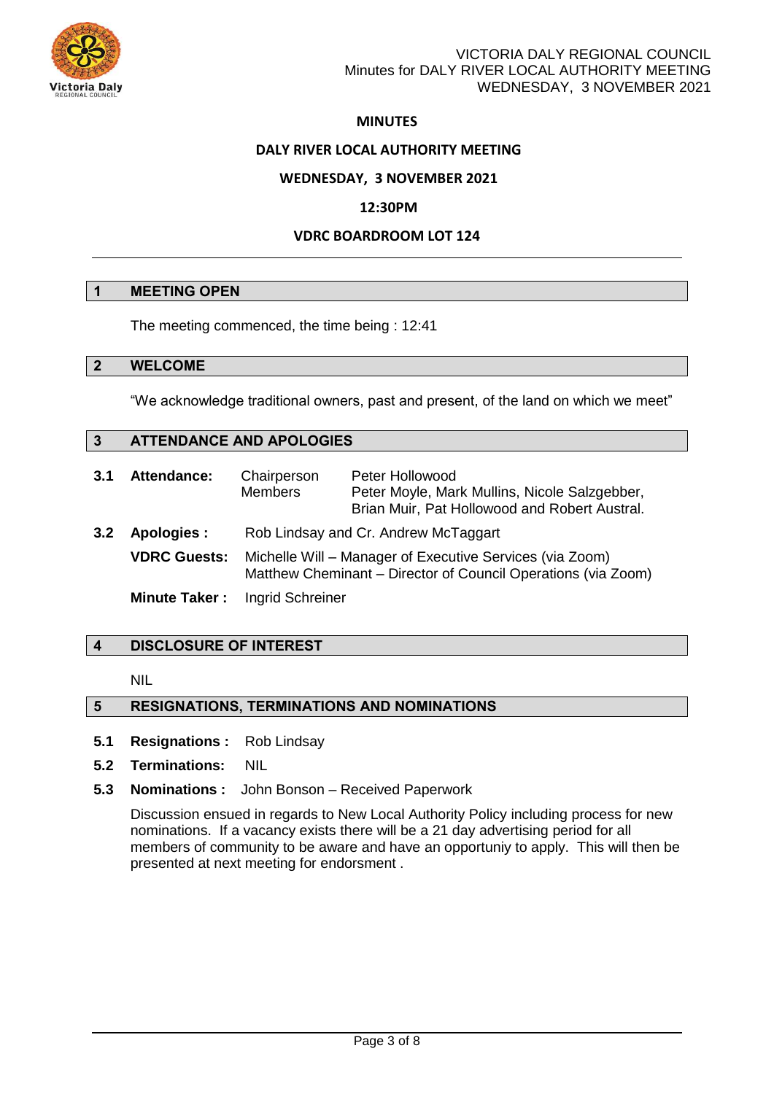

# VICTORIA DALY REGIONAL COUNCIL Minutes for DALY RIVER LOCAL AUTHORITY MEETING WEDNESDAY, 3 NOVEMBER 2021

# **MINUTES**

### **DALY RIVER LOCAL AUTHORITY MEETING**

### **WEDNESDAY, 3 NOVEMBER 2021**

### **12:30PM**

## **VDRC BOARDROOM LOT 124**

### **1 MEETING OPEN**

The meeting commenced, the time being : 12:41

#### **2 WELCOME**

"We acknowledge traditional owners, past and present, of the land on which we meet"

## **3 ATTENDANCE AND APOLOGIES**

| 3.1           | <b>Attendance:</b>   | Chairperson<br><b>Members</b>                                                                                             | Peter Hollowood<br>Peter Moyle, Mark Mullins, Nicole Salzgebber,<br>Brian Muir, Pat Hollowood and Robert Austral. |
|---------------|----------------------|---------------------------------------------------------------------------------------------------------------------------|-------------------------------------------------------------------------------------------------------------------|
| $3.2^{\circ}$ | Apologies :          | Rob Lindsay and Cr. Andrew McTaggart                                                                                      |                                                                                                                   |
|               | <b>VDRC Guests:</b>  | Michelle Will – Manager of Executive Services (via Zoom)<br>Matthew Cheminant – Director of Council Operations (via Zoom) |                                                                                                                   |
|               | <b>Minute Taker:</b> | Ingrid Schreiner                                                                                                          |                                                                                                                   |

## **4 DISCLOSURE OF INTEREST**

NIL

## **5 RESIGNATIONS, TERMINATIONS AND NOMINATIONS**

- **5.1 Resignations :** Rob Lindsay
- **5.2 Terminations:** NIL
- **5.3 Nominations :** John Bonson Received Paperwork

Discussion ensued in regards to New Local Authority Policy including process for new nominations. If a vacancy exists there will be a 21 day advertising period for all members of community to be aware and have an opportuniy to apply. This will then be presented at next meeting for endorsment .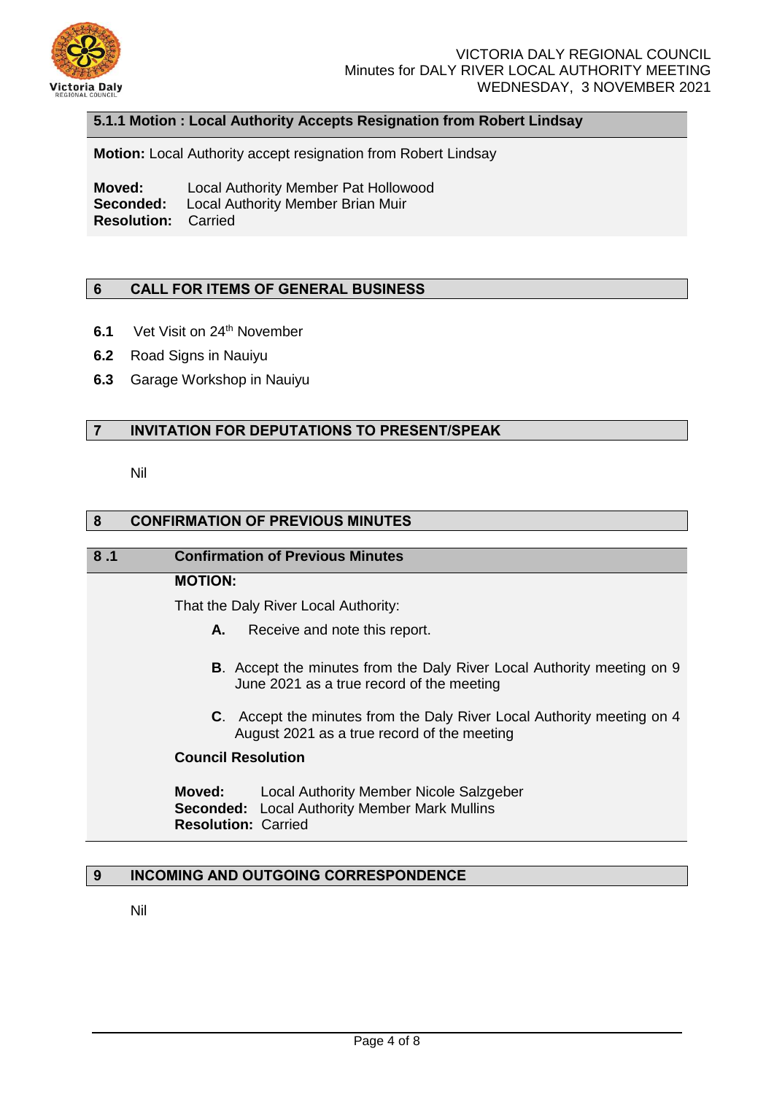

## **5.1.1 Motion : Local Authority Accepts Resignation from Robert Lindsay**

**Motion:** Local Authority accept resignation from Robert Lindsay

**Moved:** Local Authority Member Pat Hollowood **Seconded:** Local Authority Member Brian Muir **Resolution:** Carried

### **6 CALL FOR ITEMS OF GENERAL BUSINESS**

- **6.1** Vet Visit on 24<sup>th</sup> November
- **6.2** Road Signs in Nauiyu
- **6.3** Garage Workshop in Nauiyu

## **7 INVITATION FOR DEPUTATIONS TO PRESENT/SPEAK**

Nil

### **8 CONFIRMATION OF PREVIOUS MINUTES**

#### **8 .1 Confirmation of Previous Minutes**

### **MOTION:**

That the Daly River Local Authority:

- **A.** Receive and note this report.
- **B**. Accept the minutes from the Daly River Local Authority meeting on 9 June 2021 as a true record of the meeting
- **C**. Accept the minutes from the Daly River Local Authority meeting on 4 August 2021 as a true record of the meeting

### **Council Resolution**

| Moved:                     | Local Authority Member Nicole Salzgeber              |
|----------------------------|------------------------------------------------------|
|                            | <b>Seconded:</b> Local Authority Member Mark Mullins |
| <b>Resolution: Carried</b> |                                                      |

# **9 INCOMING AND OUTGOING CORRESPONDENCE**

Nil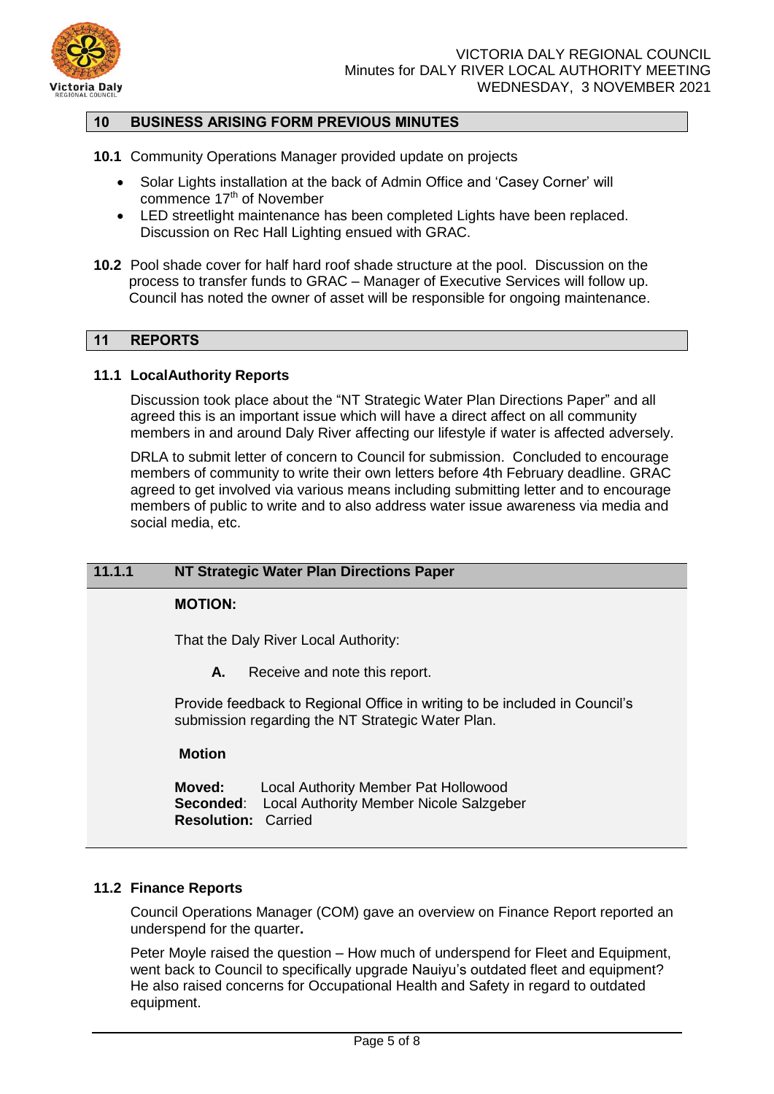

# **10 BUSINESS ARISING FORM PREVIOUS MINUTES**

- **10.1** Community Operations Manager provided update on projects
	- Solar Lights installation at the back of Admin Office and 'Casey Corner' will commence 17<sup>th</sup> of November
	- LED streetlight maintenance has been completed Lights have been replaced. Discussion on Rec Hall Lighting ensued with GRAC.
- **10.2** Pool shade cover for half hard roof shade structure at the pool. Discussion on the process to transfer funds to GRAC – Manager of Executive Services will follow up. Council has noted the owner of asset will be responsible for ongoing maintenance.

# **11 REPORTS**

#### **11.1 LocalAuthority Reports**

Discussion took place about the "NT Strategic Water Plan Directions Paper" and all agreed this is an important issue which will have a direct affect on all community members in and around Daly River affecting our lifestyle if water is affected adversely.

DRLA to submit letter of concern to Council for submission. Concluded to encourage members of community to write their own letters before 4th February deadline. GRAC agreed to get involved via various means including submitting letter and to encourage members of public to write and to also address water issue awareness via media and social media, etc.

#### **11.1.1 NT Strategic Water Plan Directions Paper**

## **MOTION:**

That the Daly River Local Authority:

**A.** Receive and note this report.

Provide feedback to Regional Office in writing to be included in Council's submission regarding the NT Strategic Water Plan.

#### **Motion**

**Moved:** Local Authority Member Pat Hollowood **Seconded:** Local Authority Member Nicole Salzgeber **Resolution:** Carried

#### **11.2 Finance Reports**

Council Operations Manager (COM) gave an overview on Finance Report reported an underspend for the quarter**.** 

Peter Moyle raised the question – How much of underspend for Fleet and Equipment, went back to Council to specifically upgrade Nauiyu's outdated fleet and equipment? He also raised concerns for Occupational Health and Safety in regard to outdated equipment.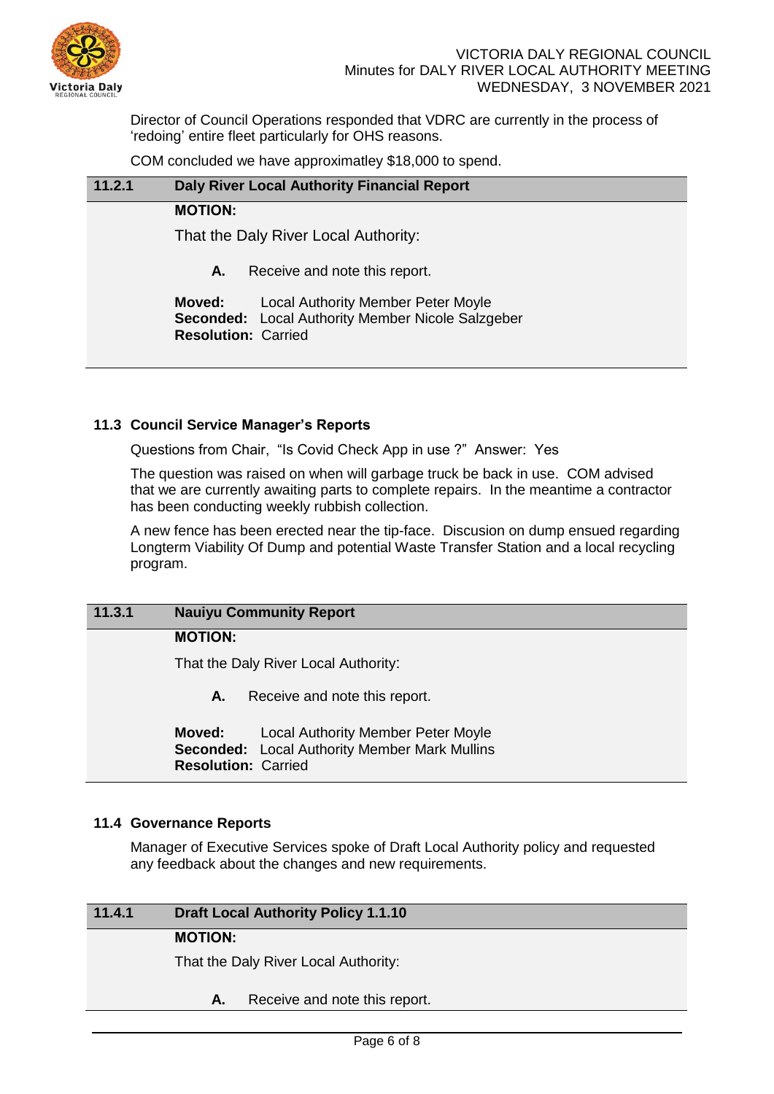

Director of Council Operations responded that VDRC are currently in the process of 'redoing' entire fleet particularly for OHS reasons.

COM concluded we have approximatley \$18,000 to spend.

| 11.2.1 | <b>Daly River Local Authority Financial Report</b>                                                                                     |
|--------|----------------------------------------------------------------------------------------------------------------------------------------|
|        | <b>MOTION:</b>                                                                                                                         |
|        | That the Daly River Local Authority:                                                                                                   |
|        | Receive and note this report.<br>А.                                                                                                    |
|        | Moved:<br><b>Local Authority Member Peter Moyle</b><br>Seconded: Local Authority Member Nicole Salzgeber<br><b>Resolution: Carried</b> |

## **11.3 Council Service Manager's Reports**

Questions from Chair, "Is Covid Check App in use ?" Answer: Yes

The question was raised on when will garbage truck be back in use. COM advised that we are currently awaiting parts to complete repairs. In the meantime a contractor has been conducting weekly rubbish collection.

A new fence has been erected near the tip-face. Discusion on dump ensued regarding Longterm Viability Of Dump and potential Waste Transfer Station and a local recycling program.

# **11.3.1 Nauiyu Community Report**

## **MOTION:**

That the Daly River Local Authority:

**A.** Receive and note this report.

**Moved:** Local Authority Member Peter Moyle **Seconded:** Local Authority Member Mark Mullins **Resolution:** Carried

## **11.4 Governance Reports**

Manager of Executive Services spoke of Draft Local Authority policy and requested any feedback about the changes and new requirements.

## **11.4.1 Draft Local Authority Policy 1.1.10**

#### **MOTION:**

That the Daly River Local Authority:

**A.** Receive and note this report.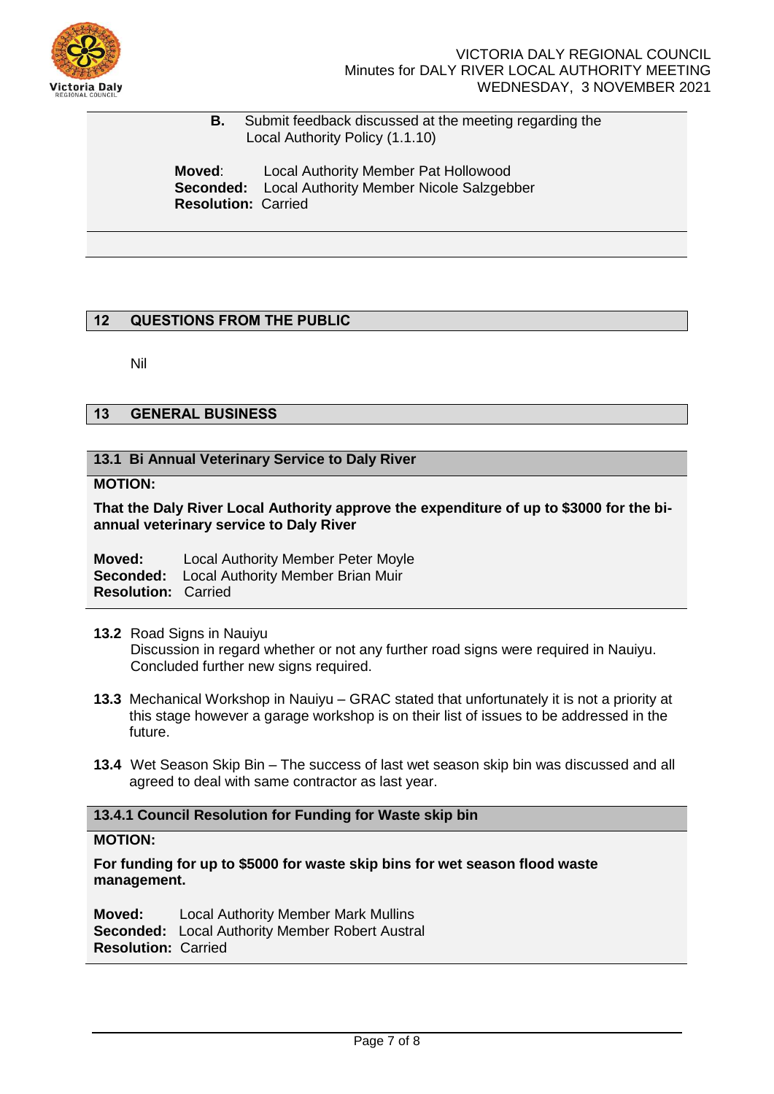

 **B.** Submit feedback discussed at the meeting regarding the Local Authority Policy (1.1.10)

**Moved**: Local Authority Member Pat Hollowood **Seconded:** Local Authority Member Nicole Salzgebber **Resolution:** Carried

## **12 QUESTIONS FROM THE PUBLIC**

Nil

# **13 GENERAL BUSINESS**

## **13.1 Bi Annual Veterinary Service to Daly River**

## **MOTION:**

**That the Daly River Local Authority approve the expenditure of up to \$3000 for the biannual veterinary service to Daly River**

**Moved:** Local Authority Member Peter Moyle **Seconded:** Local Authority Member Brian Muir **Resolution:** Carried

- **13.2** Road Signs in Nauiyu Discussion in regard whether or not any further road signs were required in Nauiyu. Concluded further new signs required.
- **13.3** Mechanical Workshop in Nauiyu GRAC stated that unfortunately it is not a priority at this stage however a garage workshop is on their list of issues to be addressed in the future.
- **13.4** Wet Season Skip Bin The success of last wet season skip bin was discussed and all agreed to deal with same contractor as last year.

## **13.4.1 Council Resolution for Funding for Waste skip bin**

#### **MOTION:**

**For funding for up to \$5000 for waste skip bins for wet season flood waste management.**

**Moved:** Local Authority Member Mark Mullins **Seconded:** Local Authority Member Robert Austral **Resolution:** Carried